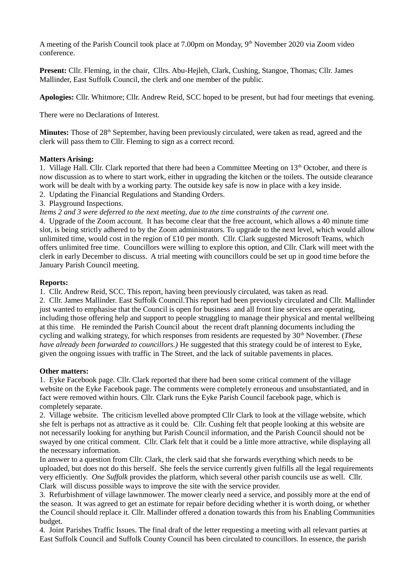A meeting of the Parish Council took place at 7.00pm on Monday, 9<sup>th</sup> November 2020 via Zoom video conference.

**Present:** Cllr. Fleming, in the chair, Cllrs. Abu-Hejleh, Clark, Cushing, Stangoe, Thomas; Cllr. James Mallinder, East Suffolk Council, the clerk and one member of the public.

**Apologies:** Cllr. Whitmore; Cllr. Andrew Reid, SCC hoped to be present, but had four meetings that evening.

There were no Declarations of Interest.

Minutes: Those of 28<sup>th</sup> September, having been previously circulated, were taken as read, agreed and the clerk will pass them to Cllr. Fleming to sign as a correct record.

## **Matters Arising:**

1. Village Hall. Cllr. Clark reported that there had been a Committee Meeting on 13<sup>th</sup> October, and there is now discussion as to where to start work, either in upgrading the kitchen or the toilets. The outside clearance work will be dealt with by a working party. The outside key safe is now in place with a key inside. 2. Updating the Financial Regulations and Standing Orders.

3. Playground Inspections.

*Items 2 and 3 were deferred to the next meeting, due to the time constraints of the current one.*

4. Upgrade of the Zoom account. It has become clear that the free account, which allows a 40 minute time slot, is being strictly adhered to by the Zoom administrators. To upgrade to the next level, which would allow unlimited time, would cost in the region of £10 per month. Cllr. Clark suggested Microsoft Teams, which offers unlimited free time. Councillors were willing to explore this option, and Cllr. Clark will meet with the clerk in early December to discuss. A trial meeting with councillors could be set up in good time before the January Parish Council meeting.

# **Reports:**

1. Cllr. Andrew Reid, SCC. This report, having been previously circulated, was taken as read.

2. Cllr. James Mallinder. East Suffolk Council.This report had been previously circulated and Cllr. Mallinder just wanted to emphasise that the Council is open for business and all front line services are operating, including those offering help and support to people struggling to manage their physical and mental wellbeing at this time. He reminded the Parish Council about the recent draft planning documents including the cycling and walking strategy, for which responses from residents are requested by 30<sup>th</sup> November. (*These have already been forwarded to councillors.)* He suggested that this strategy could be of interest to Eyke, given the ongoing issues with traffic in The Street, and the lack of suitable pavements in places.

## **Other matters:**

1. Eyke Facebook page. Cllr. Clark reported that there had been some critical comment of the village website on the Eyke Facebook page. The comments were completely erroneous and unsubstantiated, and in fact were removed within hours. Cllr. Clark runs the Eyke Parish Council facebook page, which is completely separate.

2. Village website. The criticism levelled above prompted Cllr Clark to look at the village website, which she felt is perhaps not as attractive as it could be. Cllr. Cushing felt that people looking at this website are not necessarily looking for anything but Parish Council information, and the Parish Council should not be swayed by one critical comment. Cllr. Clark felt that it could be a little more attractive, while displaying all the necessary information.

In answer to a question from Cllr. Clark, the clerk said that she forwards everything which needs to be uploaded, but does not do this herself. She feels the service currently given fulfills all the legal requirements very efficiently. *One Suffolk* provides the platform, which several other parish councils use as well. Cllr. Clark will discuss possible ways to improve the site with the service provider.

3. Refurbishment of village lawnmower. The mower clearly need a service, and possibly more at the end of the season. It was agreed to get an estimate for repair before deciding whether it is worth doing, or whether the Council should replace it. Cllr. Mallinder offered a donation towards this from his Enabling Communities budget.

4. Joint Parishes Traffic Issues. The final draft of the letter requesting a meeting with all relevant parties at East Suffolk Council and Suffolk County Council has been circulated to councillors. In essence, the parish